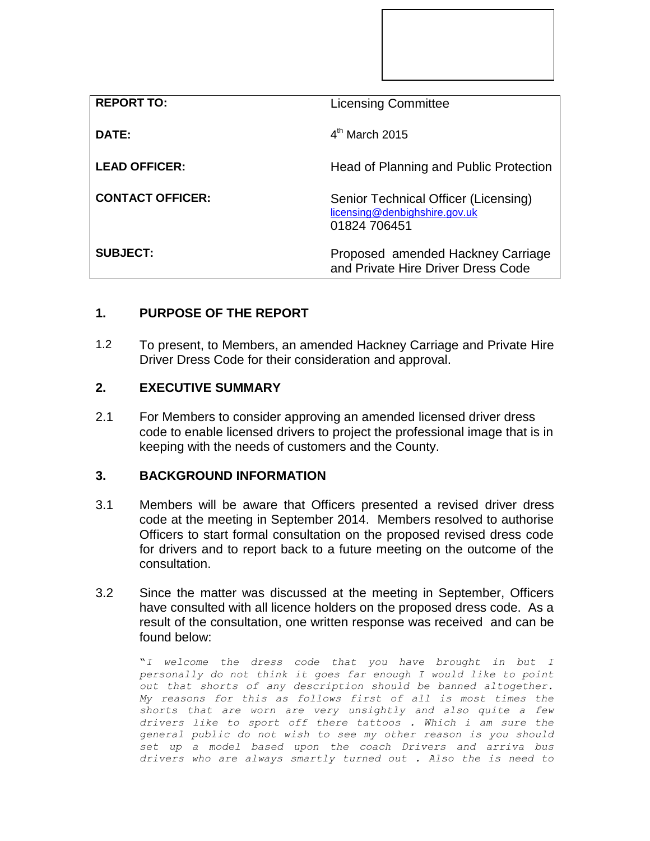| <b>REPORT TO:</b>       | <b>Licensing Committee</b>                                                            |
|-------------------------|---------------------------------------------------------------------------------------|
| DATE:                   | $4th$ March 2015                                                                      |
| <b>LEAD OFFICER:</b>    | Head of Planning and Public Protection                                                |
| <b>CONTACT OFFICER:</b> | Senior Technical Officer (Licensing)<br>licensing@denbighshire.gov.uk<br>01824 706451 |
| <b>SUBJECT:</b>         | Proposed amended Hackney Carriage<br>and Private Hire Driver Dress Code               |

## **1. PURPOSE OF THE REPORT**

1.2 To present, to Members, an amended Hackney Carriage and Private Hire Driver Dress Code for their consideration and approval.

## **2. EXECUTIVE SUMMARY**

2.1 For Members to consider approving an amended licensed driver dress code to enable licensed drivers to project the professional image that is in keeping with the needs of customers and the County.

## **3. BACKGROUND INFORMATION**

- 3.1 Members will be aware that Officers presented a revised driver dress code at the meeting in September 2014. Members resolved to authorise Officers to start formal consultation on the proposed revised dress code for drivers and to report back to a future meeting on the outcome of the consultation.
- 3.2 Since the matter was discussed at the meeting in September, Officers have consulted with all licence holders on the proposed dress code. As a result of the consultation, one written response was received and can be found below:

"*I welcome the dress code that you have brought in but I personally do not think it goes far enough I would like to point out that shorts of any description should be banned altogether. My reasons for this as follows first of all is most times the shorts that are worn are very unsightly and also quite a few drivers like to sport off there tattoos . Which i am sure the general public do not wish to see my other reason is you should set up a model based upon the coach Drivers and arriva bus drivers who are always smartly turned out . Also the is need to*